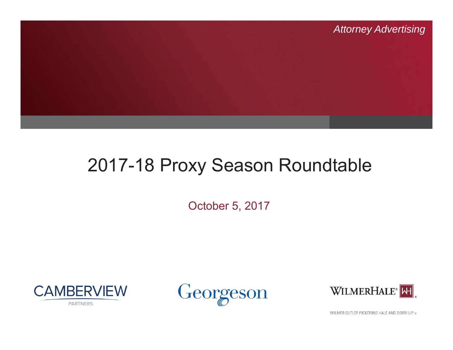

#### 2017-18 Proxy Season Roundtable

October 5, 2017







WILMER CUTLER PICKERING HALE AND DORR LLP ®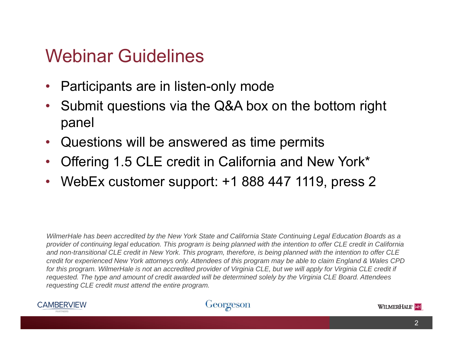#### Webinar Guidelines

- •Participants are in listen-only mode
- $\bullet$  Submit questions via the Q&A box on the bottom right panel
- •Questions will be answered as time permits
- •Offering 1.5 CLE credit in California and New York\*
- •WebEx customer support: +1 888 447 1119, press 2

*WilmerHale has been accredited by the New York State and California State Continuing Legal Education Boards as a provider of continuing legal education. This program is being planned with the intention to offer CLE credit in California and non-transitional CLE credit in New York. This program, therefore, is being planned with the intention to offer CLE credit for experienced New York attorneys only. Attendees of this program may be able to claim England & Wales CPD* for this program. WilmerHale is not an accredited provider of Virginia CLE, but we will apply for Virginia CLE credit if *requested. The type and amount of credit awarded will be determined solely by the Virginia CLE Board. Attendees requesting CLE credit must attend the entire program.*



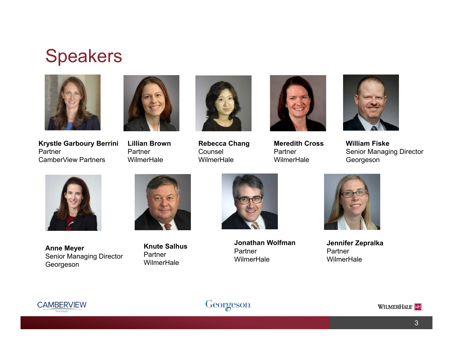#### Speakers



**Krystle Garboury Berrini** PartnerCamberView Partners



**Lillian Brown**Partner**WilmerHale** 



**Rebecca Chang** Counsel **WilmerHale** 



**Meredith CrossPartner WilmerHale** 



**William Fiske**Senior Managing Director Georgeson



**Anne Meyer** Senior Managing Director Georgeson



**Knute SalhusPartner WilmerHale** 



**Jonathan Wolfman**Partner**WilmerHale** 



**Jennifer Zepralka** Partner**WilmerHale** 





WILMERHALE<sup>®</sup>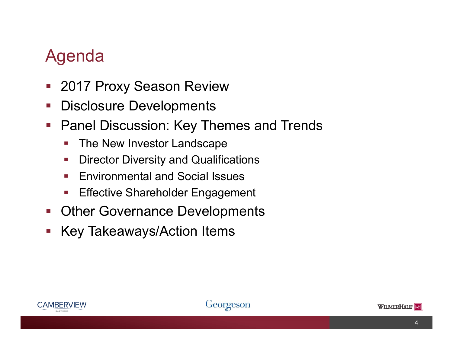#### Agenda

- $\mathcal{L}_{\mathcal{A}}$ 2017 Proxy Season Review
- $\mathcal{L}_{\mathcal{A}}$ Disclosure Developments
- $\mathcal{L}_{\mathcal{A}}$  Panel Discussion: Key Themes and Trends
	- $\mathbb{R}^n$ The New Investor Landscape
	- e<br>V Director Diversity and Qualifications
	- e<br>V Environmental and Social Issues
	- e<br>V Effective Shareholder Engagement
- $\mathcal{L}_{\mathcal{A}}$ Other Governance Developments
- $\mathbb{R}^n$ Key Takeaways/Action Items





4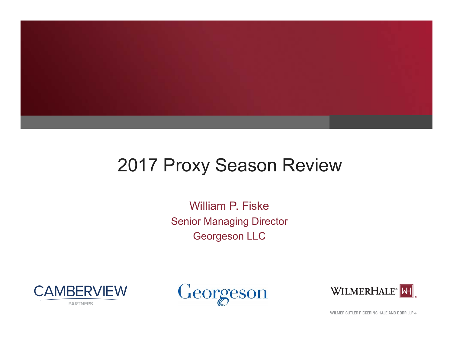

#### 2017 Proxy Season Review

William P. FiskeSenior Managing Director Georgeson LLC







WILMER CUTLER PICKERING HALE AND DORR LLP ®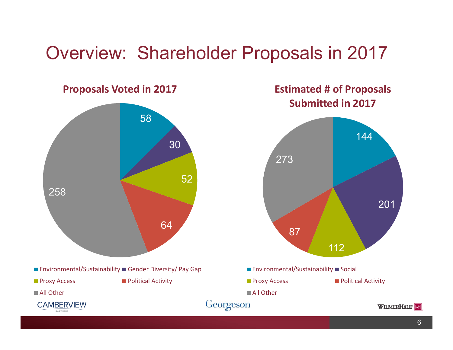#### Overview: Shareholder Proposals in 2017



144201 112 87273**Estimated # of Proposals Submitted in 2017** $\blacksquare$  Environmental/Sustainability  $\blacksquare$  Social **Proxy Access Political Activity** ■ All Other

WILMERHALE<sup>®</sup>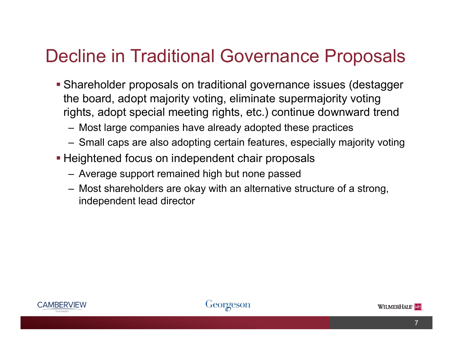#### Decline in Traditional Governance Proposals

- Shareholder proposals on traditional governance issues (destagger the board, adopt majority voting, eliminate supermajority voting rights, adopt special meeting rights, etc.) continue downward trend
	- Most large companies have already adopted these practices
	- Small caps are also adopting certain features, especially majority voting
- **Heightened focus on independent chair proposals** 
	- Average support remained high but none passed
	- Most shareholders are okay with an alternative structure of a strong, independent lead director





7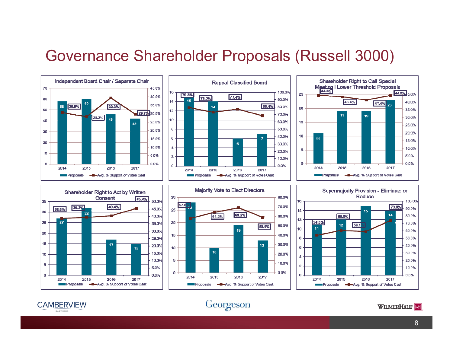#### Governance Shareholder Proposals (Russell 3000)



WILMERHALE<sup>®</sup>



**CAMBERVIEW** 

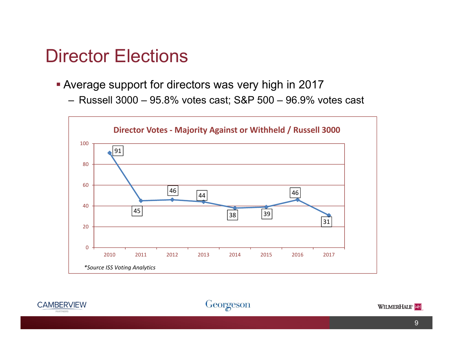#### Director Elections

- Average support for directors was very high in 2017
	- Russell 3000 95.8% votes cast; S&P 500 96.9% votes cast





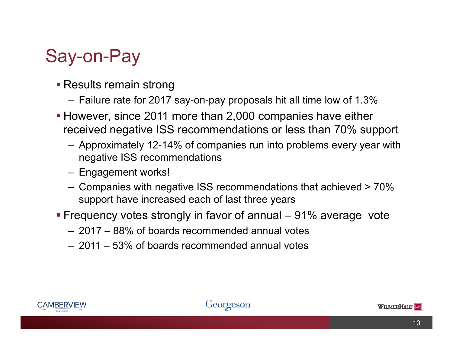# Say-on-Pay

- Results remain strong
	- Failure rate for 2017 say-on-pay proposals hit all time low of 1.3%
- However, since 2011 more than 2,000 companies have either received negative ISS recommendations or less than 70% support
	- Approximately 12-14% of companies run into problems every year with negative ISS recommendations
	- Engagement works!
	- $-$  Companies with negative ISS recommendations that achieved > 70%  $\,$ support have increased each of last three years
- Frequency votes strongly in favor of annual 91% average vote
	- 2017 88% of boards recommended annual votes
	- 2011 53% of boards recommended annual votes



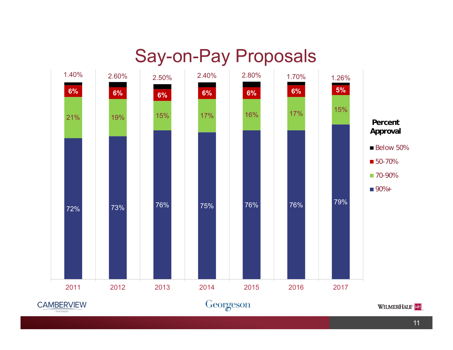#### Say-on-Pay Proposals



11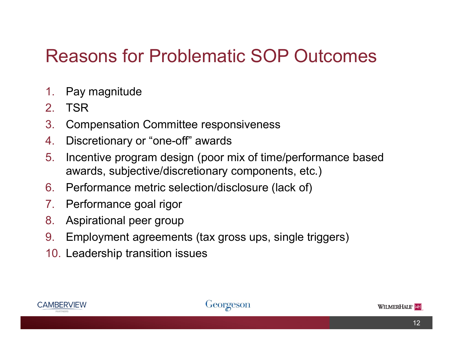#### Reasons for Problematic SOP Outcomes

- 1.Pay magnitude
- 2.TSR
- 3.Compensation Committee responsiveness
- 4.Discretionary or "one-off" awards
- 5. Incentive program design (poor mix of time/performance based awards, subjective/discretionary components, etc.)
- 6. Performance metric selection/disclosure (lack of)
- 7.Performance goal rigor
- 8.Aspirational peer group
- 9.Employment agreements (tax gross ups, single triggers)
- 10. Leadership transition issues



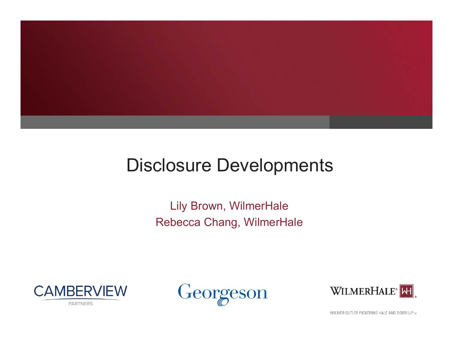

#### Disclosure Developments

Lily Brown, WilmerHale Rebecca Chang, WilmerHale







WILMER CUTLER PICKERING HALE AND DORR LLP ®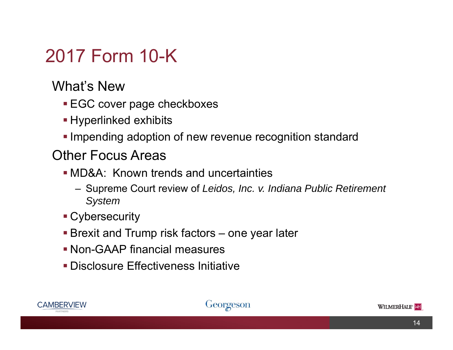# 2017 Form 10-K

What's New

- EGC cover page checkboxes
- Hyperlinked exhibits
- **Impending adoption of new revenue recognition standard**

#### Other Focus Areas

- MD&A: Known trends and uncertainties
	- Supreme Court review of *Leidos, Inc. v. Indiana Public Retirement System*
- Cybersecurity
- Brexit and Trump risk factors one year later
- Non-GAAP financial measures
- Disclosure Effectiveness Initiative



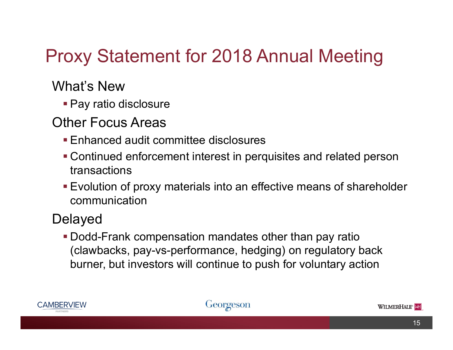# Proxy Statement for 2018 Annual Meeting

#### What's New

Pay ratio disclosure

#### Other Focus Areas

- Enhanced audit committee disclosures
- Continued enforcement interest in perquisites and related person transactions
- Evolution of proxy materials into an effective means of shareholder communication

#### Delayed

 Dodd-Frank compensation mandates other than pay ratio (clawbacks, pay-vs-performance, hedging) on regulatory back burner, but investors will continue to push for voluntary actio n



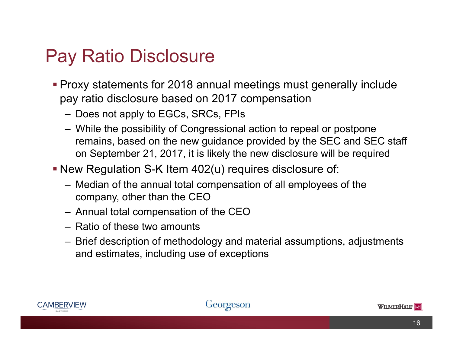### Pay Ratio Disclosure

- Proxy statements for 2018 annual meetings must generally include pay ratio disclosure based on 2017 compensation
	- Does not apply to EGCs, SRCs, FPIs
	- While the possibility of Congressional action to repeal or postpone remains, based on the new guidance provided by the SEC and SEC staff on September 21, 2017, it is likely the new disclosure will be required
- New Regulation S-K Item 402(u) requires disclosure of:
	- Median of the annual total compensation of all employees of the company, other than the CEO
	- Annual total compensation of the CEO
	- Ratio of these two amounts
	- Brief description of methodology and material assumptions, adjustments and estimates, including use of exceptions



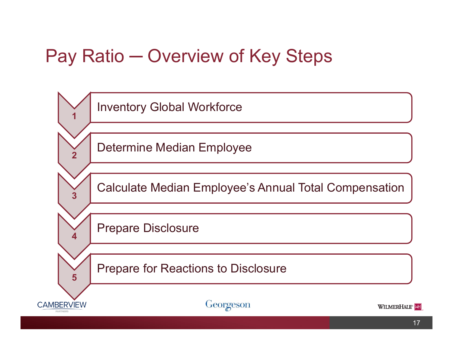### Pay Ratio ─ Overview of Key Steps

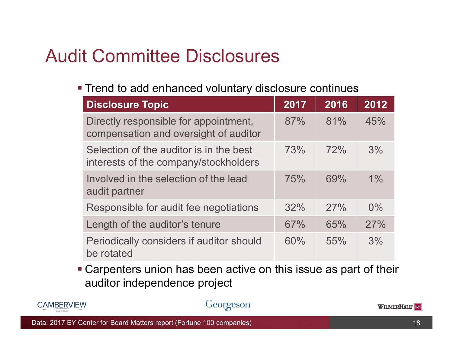# Audit Committee Disclosures

Trend to add enhanced voluntary disclosure continues

| <b>Disclosure Topic</b>                                                          | 2017 | 2016 | 2012  |
|----------------------------------------------------------------------------------|------|------|-------|
| Directly responsible for appointment,<br>compensation and oversight of auditor   | 87%  | 81%  | 45%   |
| Selection of the auditor is in the best<br>interests of the company/stockholders | 73%  | 72%  | 3%    |
| Involved in the selection of the lead<br>audit partner                           | 75%  | 69%  | $1\%$ |
| Responsible for audit fee negotiations                                           | 32%  | 27%  | $0\%$ |
| Length of the auditor's tenure                                                   | 67%  | 65%  | 27%   |
| Periodically considers if auditor should<br>be rotated                           | 60%  | 55%  | 3%    |

 Carpenters union has been active on this issue as part of their auditor independence project



#### Georgeson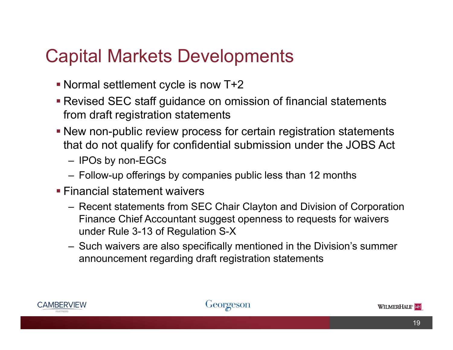#### Capital Markets Developments

- Normal settlement cycle is now T+2
- Revised SEC staff guidance on omission of financial statements from draft registration statements
- New non-public review process for certain registration statements that do not qualify for confidential submission under the JOBS Act
	- IPOs by non-EGCs
	- Follow-up offerings by companies public less than 12 months
- Financial statement waivers
	- Recent statements from SEC Chair Clayton and Division of Corporation Finance Chief Accountant suggest openness to requests for waivers under Rule 3-13 of Regulation S-X
	- Such waivers are also specifically mentioned in the Division's summer announcement regarding draft registration statements



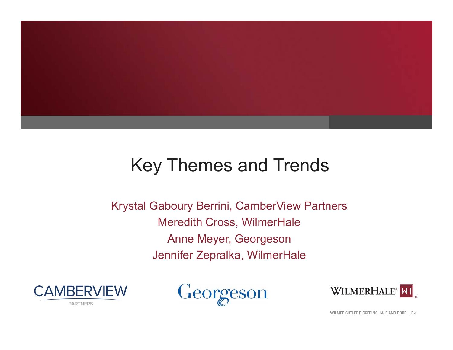

### Key Themes and Trends

Krystal Gaboury Berrini, CamberView Partners Meredith Cross, WilmerHale Anne Meyer, Georgeson Jennifer Zepralka, WilmerHale







WILMER CUTLER PICKERING HALE AND DORR LLP ®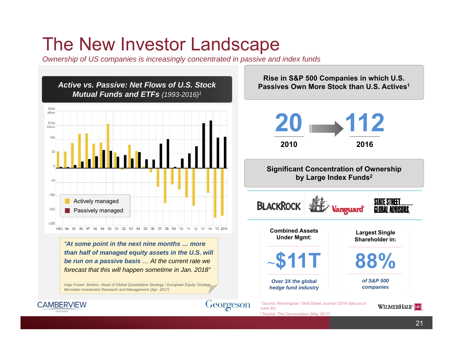### The New Investor Landscape

*Ownership of US companies is increasingly concentrated in passive and index funds*

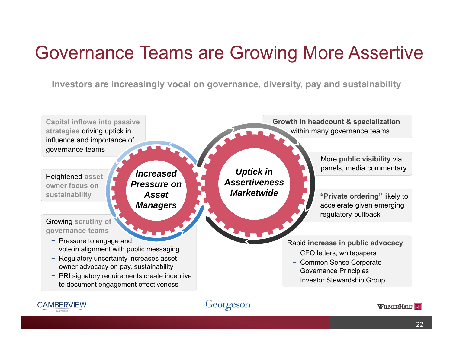#### Governance Teams are Growing More Assertive

**Investors are increasingly vocal on governance, diversity, pay and sustainability** 





**CAMBERVIEW**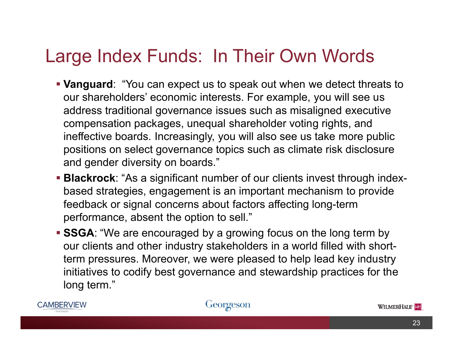### Large Index Funds: In Their Own Words

- **Vanguard**: "You can expect us to speak out when we detect threats to our shareholders' economic interests. For example, you will see us address traditional governance issues such as misaligned executive compensation packages, unequal shareholder voting rights, and ineffective boards. Increasingly, you will also see us take more public positions on select governance topics such as climate risk disclosure and gender diversity on boards."
- **Blackrock**: "As a significant number of our clients invest through indexbased strategies, engagement is an important mechanism to provide feedback or signal concerns about factors affecting long-term performance, absent the option to sell."
- **SSGA**: "We are encouraged by a growing focus on the long term by our clients and other industry stakeholders in a world filled with shortterm pressures. Moreover, we were pleased to help lead key industry initiatives to codify best governance and stewardship practices for the long term."





WILMERHALE<sup>®</sup>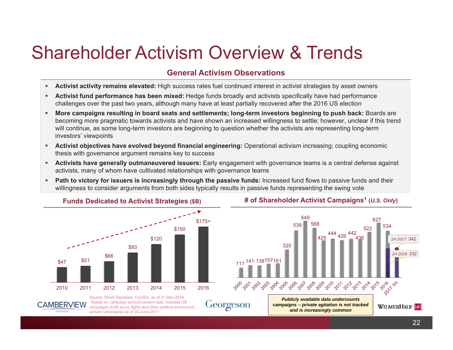# Shareholder Activism Overview & Trends

#### **General Activism Observations**

- **Activist activity remains elevated:** High success rates fuel continued interest in activist strategies by asset owners
- $\mathbf{r}$  **Activist fund performance has been mixed:** Hedge funds broadly and activists specifically have had performance challenges over the past two years, although many have at least partially recovered after the 2016 US election
- ä, **More campaigns resulting in board seats and settlements; long-term investors beginning to push back:** Boards are becoming more pragmatic towards activists and have shown an increased willingness to settle; however, unclear if this trend will continue, as some long-term investors are beginning to question whether the activists are representing long-term investors' viewpoints
- ×. **Activist objectives have evolved beyond financial engineering:** Operational activism increasing; coupling economic thesis with governance argument remains key to success
- **Activists have generally outmaneuvered issuers:** Early engagement with governance teams is a central defense against activists, many of whom have cultivated relationships with governance teams
- ò. **Path to victory for issuers is increasingly through the passive funds:** Increased fund flows to passive funds and their willingness to consider arguments from both sides typically results in passive funds representing the swing vote



#### **Funds Dedicated to Activist Strategies (\$B) # of Shareholder Activist Campaigns1 (***U.S. Only***)**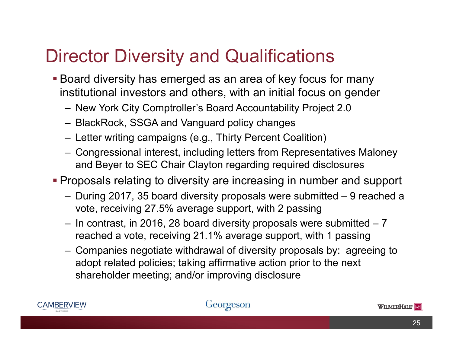# Director Diversity and Qualifications

- Board diversity has emerged as an area of key focus for many institutional investors and others, with an initial focus on gender
	- New York City Comptroller's Board Accountability Project 2.0
	- BlackRock, SSGA and Vanguard policy changes
	- Letter writing campaigns (e.g., Thirty Percent Coalition)
	- Congressional interest, including letters from Representatives Maloney and Beyer to SEC Chair Clayton regarding required disclosures
- Proposals relating to diversity are increasing in number and support
	- During 2017, 35 board diversity proposals were submitted 9 reached a vote, receiving 27.5% average support, with 2 passing
	- In contrast, in 2016, 28 board diversity proposals were submitted 7 reached a vote, receiving 21.1% average support, with 1 passing
	- Companies negotiate withdrawal of diversity proposals by: agreeing to adopt related policies; taking affirmative action prior to the next shareholder meeting; and/or improving disclosure



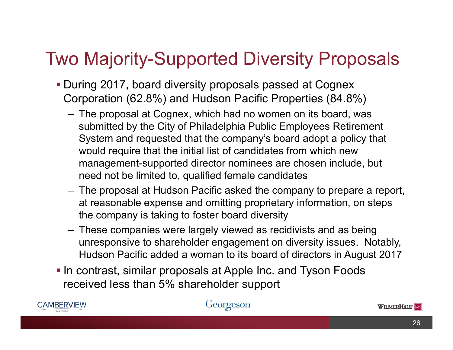### Two Majority-Supported Diversity Proposals

- During 2017, board diversity proposals passed at Cognex Corporation (62.8%) and Hudson Pacific Properties (84.8%)
	- The proposal at Cognex, which had no women on its board, was submitted by the City of Philadelphia Public Employees Retirement System and requested that the company's board adopt a policy that would require that the initial list of candidates from which new management-supported director nominees are chosen include, but need not be limited to, qualified female candidates
	- The proposal at Hudson Pacific asked the company to prepare a report, at reasonable expense and omitting proprietary information, on steps the company is taking to foster board diversity
	- These companies were largely viewed as recidivists and as being unresponsive to shareholder engagement on diversity issues. Notably, Hudson Pacific added a woman to its board of directors in August 2017
- **In contrast, similar proposals at Apple Inc. and Tyson Foods** received less than 5% shareholder support



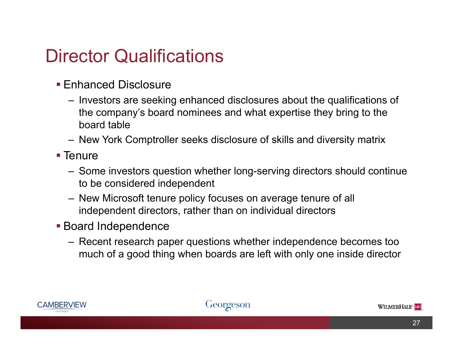#### Director Qualifications

- **Enhanced Disclosure** 
	- Investors are seeking enhanced disclosures about the qualifications of the company's board nominees and what expertise they bring to the board table
	- New York Comptroller seeks disclosure of skills and diversity matrix
- **Tenure** 
	- Some investors question whether long-serving directors should continue to be considered independent
	- New Microsoft tenure policy focuses on average tenure of all independent directors, rather than on individual directors
- **Board Independence** 
	- Recent research paper questions whether independence becomes too much of a good thing when boards are left with only one inside director



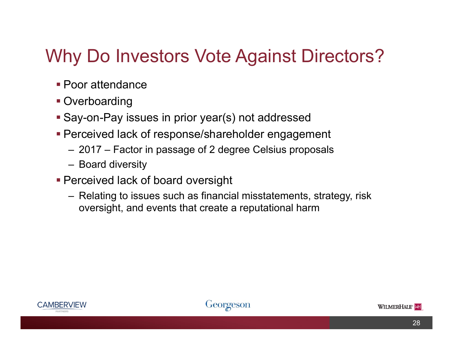# Why Do Investors Vote Against Directors?

- **Poor attendance**
- **Overboarding**
- Say-on-Pay issues in prior year(s) not addressed
- **Perceived lack of response/shareholder engagement** 
	- 2017 Factor in passage of 2 degree Celsius proposals
	- Board diversity
- Perceived lack of board oversight
	- Relating to issues such as financial misstatements, strategy, risk oversight, and events that create a reputational harm



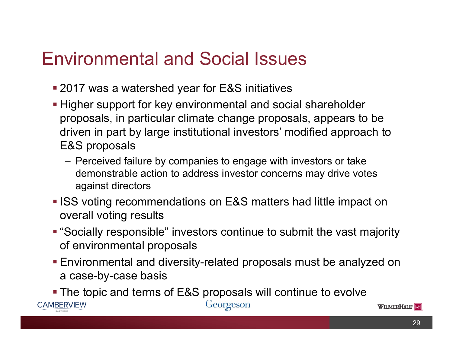#### Environmental and Social Issues

- 2017 was a watershed year for E&S initiatives
- **Higher support for key environmental and social shareholder** proposals, in particular climate change proposals, appears to be driven in part by large institutional investors' modified approach to E&S proposals
	- Perceived failure by companies to engage with investors or take demonstrable action to address investor concerns may drive votes against directors
- **ISS voting recommendations on E&S matters had little impact on** overall voting results
- "Socially responsible" investors continue to submit the vast majority of environmental proposals
- Environmental and diversity-related proposals must be analyzed on a case-by-case basis

 The topic and terms of E&S proposals will continue to evolve **CAMBERVIEW** Georgeson

WILMERHALE<sup>®</sup>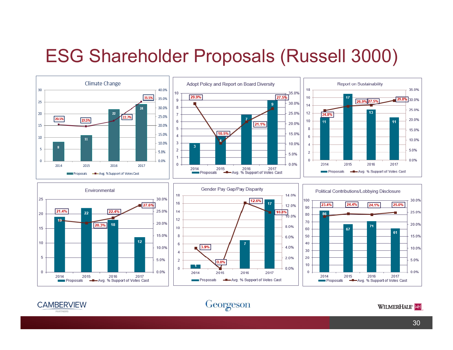#### ESG Shareholder Proposals (Russell 3000)







WILMERHALE<sup>®</sup>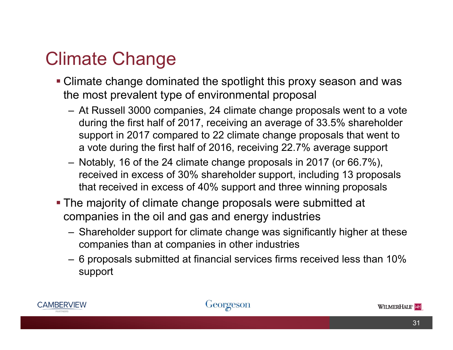# Climate Change

- Climate change dominated the spotlight this proxy season and was the most prevalent type of environmental proposal
	- At Russell 3000 companies, 24 climate change proposals went to a vote during the first half of 2017, receiving an average of 33.5% shareholder support in 2017 compared to 22 climate change proposals that went to a vote during the first half of 2016, receiving 22.7% average support
	- Notably, 16 of the 24 climate change proposals in 2017 (or 66.7%), received in excess of 30% shareholder support, including 13 proposals that received in excess of 40% support and three winning proposals
- The majority of climate change proposals were submitted at companies in the oil and gas and energy industries
	- Shareholder support for climate change was significantly higher at these companies than at companies in other industries
	- 6 proposals submitted at financial services firms received less than 10% support



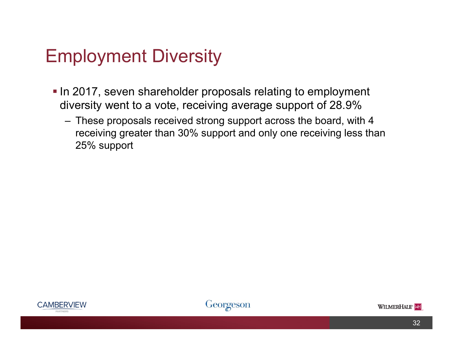### Employment Diversity

- **In 2017, seven shareholder proposals relating to employment** diversity went to a vote, receiving average support of 28.9%
	- These proposals received strong support across the board, with 4 receiving greater than 30% support and only one receiving less than 25% support





32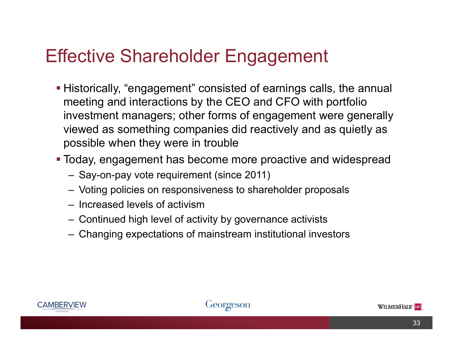# Effective Shareholder Engagement

- Historically, "engagement" consisted of earnings calls, the annual meeting and interactions by the CEO and CFO with portfolio investment managers; other forms of engagement were generally viewed as something companies did reactively and as quietly as possible when they were in trouble
- Today, engagement has become more proactive and widespread
	- Say-on-pay vote requirement (since 2011)
	- Voting policies on responsiveness to shareholder proposals
	- Increased levels of activism
	- Continued high level of activity by governance activists
	- Changing expectations of mainstream institutional investors



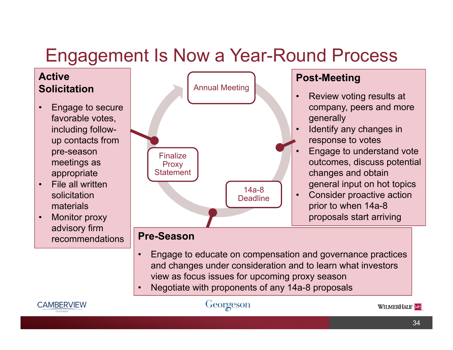# Engagement Is Now a Year-Round Process





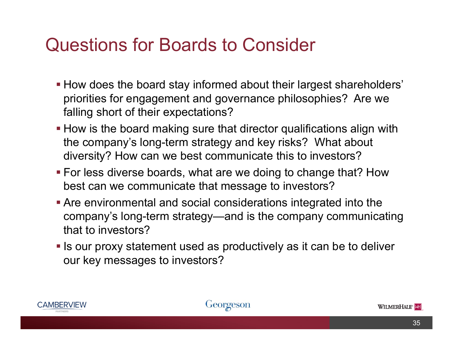#### Questions for Boards to Consider

- How does the board stay informed about their largest shareholders' priorities for engagement and governance philosophies? Are we falling short of their expectations?
- **How is the board making sure that director qualifications align with** the company's long-term strategy and key risks? What about diversity? How can we best communicate this to investors?
- For less diverse boards, what are we doing to change that? How best can we communicate that message to investors?
- Are environmental and social considerations integrated into the company's long-term strategy—and is the company communicating that to investors?
- **Is our proxy statement used as productively as it can be to deliver** our key messages to investors?



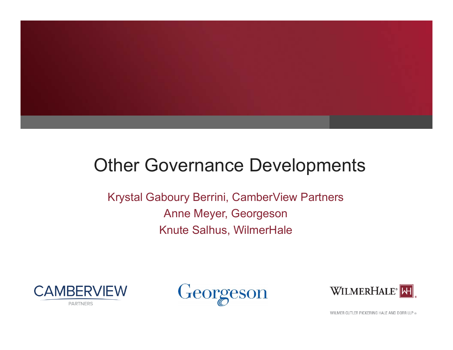

#### Other Governance Developments

Krystal Gaboury Berrini, CamberView Partners Anne Meyer, Georgeson Knute Salhus, WilmerHale







WILMER CUTLER PICKERING HALE AND DORR LLP ®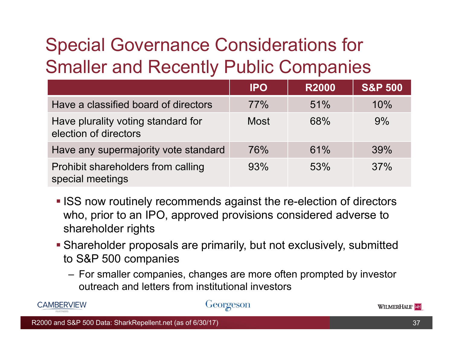# Special Governance Considerations for Smaller and Recently Public Companies

|                                                             | <b>IPO</b> | <b>R2000</b> | <b>S&amp;P 500</b> |
|-------------------------------------------------------------|------------|--------------|--------------------|
| Have a classified board of directors                        | 77%        | 51%          | 10%                |
| Have plurality voting standard for<br>election of directors | Most       | 68%          | 9%                 |
| Have any supermajority vote standard                        | 76%        | 61%          | 39%                |
| Prohibit shareholders from calling<br>special meetings      | 93%        | 53%          | 37%                |

- **ISS now routinely recommends against the re-election of directors** who, prior to an IPO, approved provisions considered adverse to shareholder rights
- Shareholder proposals are primarily, but not exclusively, submitted to S&P 500 companies
	- For smaller companies, changes are more often prompted by investor outreach and letters from institutional investors



#### Georgeson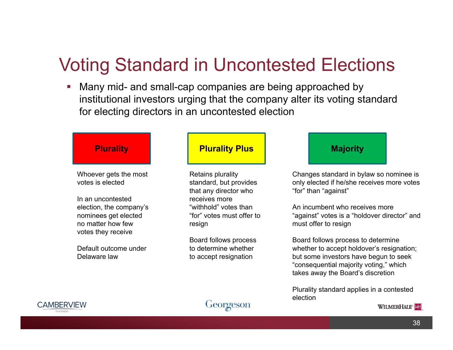#### Voting Standard in Uncontested Elections

П Many mid- and small-cap companies are being approached by institutional investors urging that the company alter its voting standard for electing directors in an uncontested election

Whoever gets the most votes is elected

In an uncontested election, the company's nominees get elected no matter how few votes they receive

Default outcome under Delaware law

#### **Plurality Plurality Plus Majority**

Retains plurality standard, but provides that any director who receives more "withhold" votes than "for" votes must offer to resign

Board follows process to determine whether to accept resignation

Changes standard in bylaw so nominee is only elected if he/she receives more votes "for" than "against"

An incumbent who receives more "against" votes is a "holdover director" and must offer to resign

Board follows process to determine whether to accept holdover's resignation; but some investors have begun to seek "consequential majority voting," which takes away the Board's discretion

Plurality standard applies in a contested election



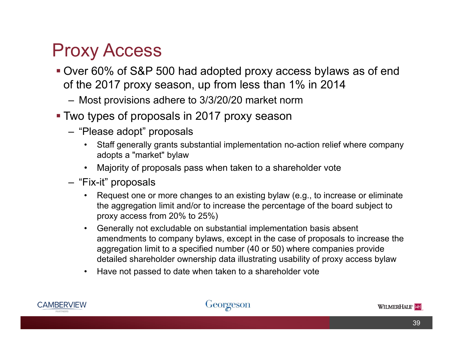#### Proxy Access

- Over 60% of S&P 500 had adopted proxy access bylaws as of end of the 2017 proxy season, up from less than 1% in 2014
	- Most provisions adhere to 3/3/20/20 market norm
- Two types of proposals in 2017 proxy season
	- "Please adopt" proposals
		- • Staff generally grants substantial implementation no-action relief where company adopts a "market" bylaw
		- •Majority of proposals pass when taken to a shareholder vote
	- "Fix-it" proposals
		- $\bullet$  Request one or more changes to an existing bylaw (e.g., to increase or eliminate the aggregation limit and/or to increase the percentage of the board subject to proxy access from 20% to 25%)
		- Generally not excludable on substantial implementation basis absent amendments to company bylaws, except in the case of proposals to increase the aggregation limit to a specified number (40 or 50) where companies provide detailed shareholder ownership data illustrating usability of proxy access bylaw
		- •Have not passed to date when taken to a shareholder vote



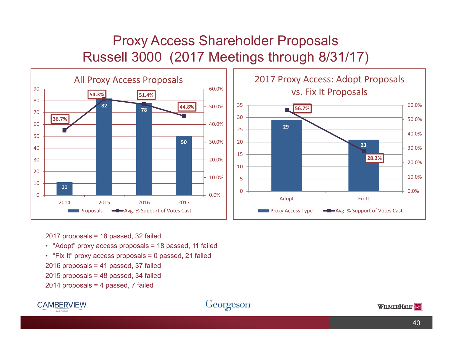#### Proxy Access Shareholder Proposals Russell 3000 (2017 Meetings through 8/31/17)





2017 proposals = 18 passed, 32 failed

- "Adopt" proxy access proposals = 18 passed, 11 failed
- "Fix It" proxy access proposals = 0 passed, 21 failed
- 2016 proposals = 41 passed, 37 failed
- 2015 proposals = 48 passed, 34 failed

2014 proposals = 4 passed, 7 failed



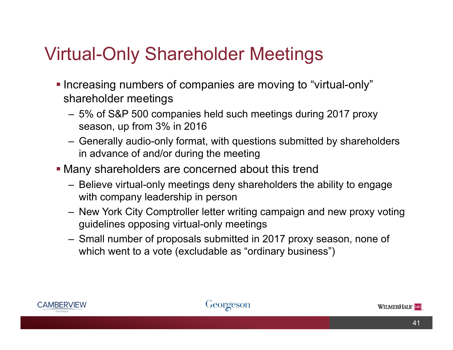## Virtual-Only Shareholder Meetings

- **Increasing numbers of companies are moving to "virtual-only"** shareholder meetings
	- 5% of S&P 500 companies held such meetings during 2017 proxy season, up from 3% in 2016
	- Generally audio-only format, with questions submitted by shareholders in advance of and/or during the meeting
- Many shareholders are concerned about this trend
	- Believe virtual-only meetings deny shareholders the ability to engage with company leadership in person
	- New York City Comptroller letter writing campaign and new proxy voting guidelines opposing virtual-only meetings
	- Small number of proposals submitted in 2017 proxy season, none of which went to a vote (excludable as "ordinary business")



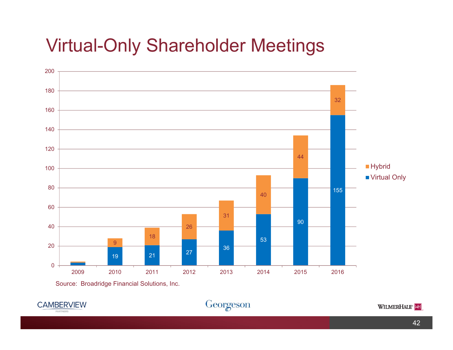#### Virtual-Only Shareholder Meetings





Georgeson

WILMERHALE<sup>®</sup>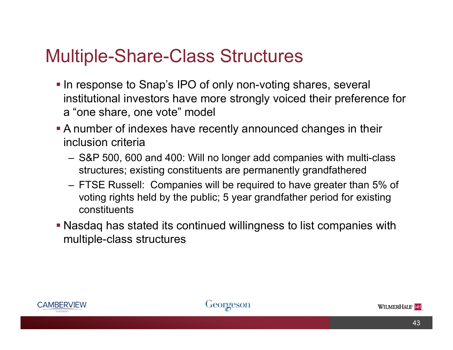#### Multiple-Share-Class Structures

- In response to Snap's IPO of only non-voting shares, several institutional investors have more strongly voiced their preference for <sup>a</sup>"one share, one vote" model
- A number of indexes have recently announced changes in their inclusion criteria
	- S&P 500, 600 and 400: Will no longer add companies with multi-class structures; existing constituents are permanently grandfathered
	- FTSE Russell: Companies will be required to have greater than 5% of voting rights held by the public; 5 year grandfather period for existing constituents
- Nasdaq has stated its continued willingness to list companies with multiple-class structures



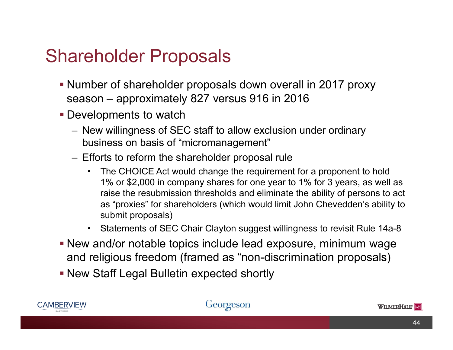#### Shareholder Proposals

- Number of shareholder proposals down overall in 2017 proxy season – approximately 827 versus 916 in 2016
- **Developments to watch** 
	- New willingness of SEC staff to allow exclusion under ordinary business on basis of "micromanagement"
	- Efforts to reform the shareholder proposal rule
		- The CHOICE Act would change the requirement for a proponent to hold 1% or \$2,000 in company shares for one year to 1% for 3 years, as well as raise the resubmission thresholds and eliminate the ability of persons to act as "proxies" for shareholders (which would limit John Chevedden's ability to submit proposals)
		- Statements of SEC Chair Clayton suggest willingness to revisit Rule 14a-8
- New and/or notable topics include lead exposure, minimum wage and religious freedom (framed as "non-discrimination proposals)
- New Staff Legal Bulletin expected shortly



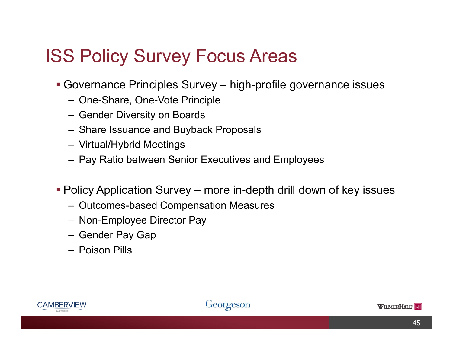### ISS Policy Survey Focus Areas

- Governance Principles Survey high-profile governance issues
	- One-Share, One-Vote Principle
	- Gender Diversity on Boards
	- Share Issuance and Buyback Proposals
	- Virtual/Hybrid Meetings
	- Pay Ratio between Senior Executives and Employees
- Policy Application Survey more in-depth drill down of key issues
	- Outcomes-based Compensation Measures
	- Non-Employee Director Pay
	- Gender Pay Gap
	- Poison Pills



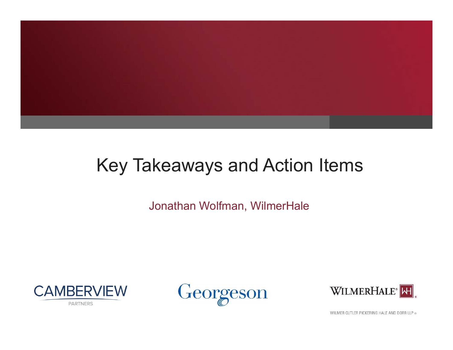

## Key Takeaways and Action Items

Jonathan Wolfman, WilmerHale







WILMER CUTLER PICKERING HALE AND DORR LLP ®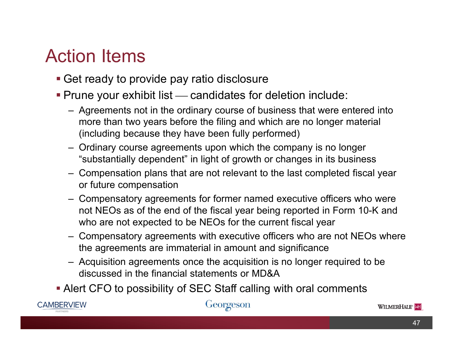## Action Items

- Get ready to provide pay ratio disclosure
- **Prune your exhibit list candidates for deletion include:** 
	- Agreements not in the ordinary course of business that were entered into more than two years before the filing and which are no longer material (including because they have been fully performed)
	- Ordinary course agreements upon which the company is no longer "substantially dependent" in light of growth or changes in its business
	- Compensation plans that are not relevant to the last completed fiscal year or future compensation
	- Compensatory agreements for former named executive officers who were not NEOs as of the end of the fiscal year being reported in Form 10-K and who are not expected to be NEOs for the current fiscal year
	- Compensatory agreements with executive officers who are not NEOs where the agreements are immaterial in amount and significance
	- Acquisition agreements once the acquisition is no longer required to be discussed in the financial statements or MD&A
- Alert CFO to possibility of SEC Staff calling with oral comments



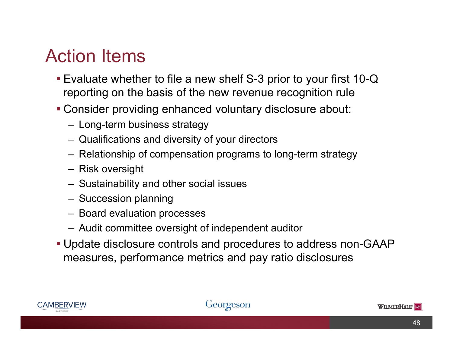#### Action Items

- Evaluate whether to file a new shelf S-3 prior to your first 10-Q reporting on the basis of the new revenue recognition rule
- Consider providing enhanced voluntary disclosure about:
	- Long-term business strategy
	- Qualifications and diversity of your directors
	- Relationship of compensation programs to long-term strategy
	- Risk oversight
	- Sustainability and other social issues
	- Succession planning
	- Board evaluation processes
	- Audit committee oversight of independent auditor
- Update disclosure controls and procedures to address non-GAAP measures, performance metrics and pay ratio disclosures